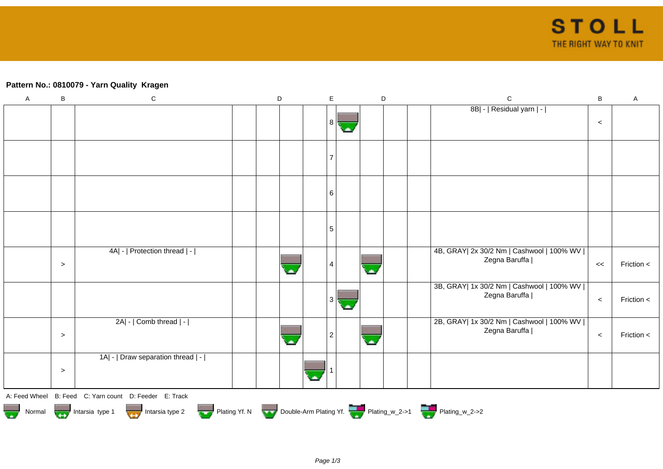## **Pattern No.: 0810079 - Yarn Quality Kragen**

| $\boldsymbol{\mathsf{A}}$ | $\sf B$ | ${\bf C}$                                                                        | D | $\mathsf E$    |   | $\mathsf D$ | $\mathsf C$                                                  | $\, {\bf B}$ | A          |
|---------------------------|---------|----------------------------------------------------------------------------------|---|----------------|---|-------------|--------------------------------------------------------------|--------------|------------|
|                           |         |                                                                                  |   | 8              |   |             | 8B  -   Residual yarn   -                                    | $\,<$        |            |
|                           |         |                                                                                  |   |                |   |             |                                                              |              |            |
|                           |         |                                                                                  |   |                |   |             |                                                              |              |            |
|                           |         |                                                                                  |   |                |   |             |                                                              |              |            |
|                           |         |                                                                                  |   | 6              |   |             |                                                              |              |            |
|                           |         |                                                                                  |   | $\sqrt{5}$     |   |             |                                                              |              |            |
|                           | $\geq$  | 4A  -   Protection thread   -                                                    |   | 4              |   |             | 4B, GRAY  2x 30/2 Nm   Cashwool   100% WV  <br>Zegna Baruffa | <<           | Friction < |
|                           |         |                                                                                  |   | 3              |   |             | 3B, GRAY  1x 30/2 Nm   Cashwool   100% WV  <br>Zegna Baruffa | $\,<$        | Friction < |
|                           | $\geq$  | $2A$ - $ $ Comb thread $ $ - $ $                                                 |   | $\overline{2}$ | × |             | 2B, GRAY  1x 30/2 Nm   Cashwool   100% WV  <br>Zegna Baruffa | $\,<$        | Friction < |
|                           | $\geq$  | 1A  -   Draw separation thread   -                                               |   |                |   |             |                                                              |              |            |
|                           |         | A: Feed Wheel B: Feed C: Yarn count D: Feeder E: Track                           |   |                |   |             |                                                              |              |            |
|                           |         | Normal More Intarsia type 1 Intarsia type 2 Plating Yf. N Double-Arm Plating Yf. |   |                |   |             |                                                              |              |            |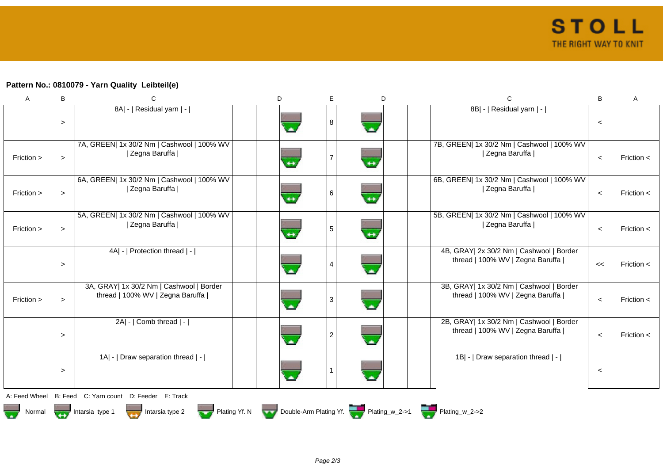## **Pattern No.: 0810079 - Yarn Quality Leibteil(e)**

| A             | В      | C                                                                            | D                 | E              | D                                                                  | C                                                                            | B       | A              |
|---------------|--------|------------------------------------------------------------------------------|-------------------|----------------|--------------------------------------------------------------------|------------------------------------------------------------------------------|---------|----------------|
|               | $\geq$ | 8A  -   Residual yarn   -                                                    |                   | 8              |                                                                    | 8B  -   Residual yarn   -                                                    | $\,<$   |                |
| Friction >    | $\geq$ | 7A, GREEN  1x 30/2 Nm   Cashwool   100% WV<br>  Zegna Baruffa                | $\leftrightarrow$ | 7              | $\leftrightarrow$                                                  | 7B, GREEN  1x 30/2 Nm   Cashwool   100% WV<br>  Zegna Baruffa                | $\prec$ | Friction $\lt$ |
| Friction >    | $\geq$ | 6A, GREEN  1x 30/2 Nm   Cashwool   100% WV<br>  Zegna Baruffa                | $\leftrightarrow$ | 6              | $\leftrightarrow$                                                  | 6B, GREEN  1x 30/2 Nm   Cashwool   100% WV<br>  Zegna Baruffa                | $\prec$ | Friction $\lt$ |
| Friction >    | $\geq$ | 5A, GREEN  1x 30/2 Nm   Cashwool   100% WV<br>  Zegna Baruffa                | $+$               | $\overline{5}$ | $\leftrightarrow$                                                  | 5B, GREEN  1x 30/2 Nm   Cashwool   100% WV<br>  Zegna Baruffa                | $\prec$ | Friction $\lt$ |
|               | $\geq$ | 4A  -   Protection thread   -                                                |                   | 4              | $\overline{\phantom{a}}$                                           | 4B, GRAY  2x 30/2 Nm   Cashwool   Border<br>thread   100% WV   Zegna Baruffa | <<      | Friction $\lt$ |
| Friction >    | $\geq$ | 3A, GRAY  1x 30/2 Nm   Cashwool   Border<br>thread   100% WV   Zegna Baruffa | ω.                | 3              | G.                                                                 | 3B, GRAY  1x 30/2 Nm   Cashwool   Border<br>thread   100% WV   Zegna Baruffa | $\,<$   | Friction $\lt$ |
|               | $\geq$ | $2A$ - $\vert$ Comb thread $\vert$ - $\vert$                                 |                   | $\overline{c}$ |                                                                    | 2B, GRAY  1x 30/2 Nm   Cashwool   Border<br>thread   100% WV   Zegna Baruffa | $\prec$ | Friction <     |
|               | $\geq$ | 1A  -   Draw separation thread   -                                           |                   |                | Ä                                                                  | 1B  -   Draw separation thread   -                                           | $\,<$   |                |
| A: Feed Wheel |        | B: Feed C: Yarn count D: Feeder E: Track                                     |                   |                |                                                                    |                                                                              |         |                |
| Normal        |        | Intarsia type 2<br>Intarsia type 1                                           |                   |                | Plating Yf. N Double-Arm Plating Yf. Plating w_2->1 Plating w_2->2 |                                                                              |         |                |